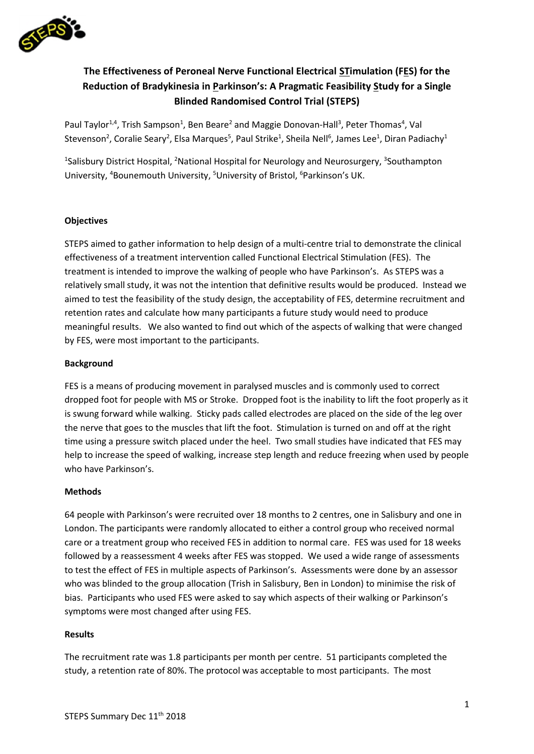

# **The Effectiveness of Peroneal Nerve Functional Electrical STimulation (FES) for the Reduction of Bradykinesia in Parkinson's: A Pragmatic Feasibility Study for a Single Blinded Randomised Control Trial (STEPS)**

Paul Taylor<sup>1,4</sup>, Trish Sampson<sup>1</sup>, Ben Beare<sup>2</sup> and Maggie Donovan-Hall<sup>3</sup>, Peter Thomas<sup>4</sup>, Val Stevenson<sup>2</sup>, Coralie Seary<sup>2</sup>, Elsa Marques<sup>5</sup>, Paul Strike<sup>1</sup>, Sheila Nell<sup>6</sup>, James Lee<sup>1</sup>, Diran Padiachy<sup>1</sup>

<sup>1</sup>Salisbury District Hospital, <sup>2</sup>National Hospital for Neurology and Neurosurgery, <sup>3</sup>Southampton University, <sup>4</sup>Bounemouth University, <sup>5</sup>University of Bristol, <sup>6</sup>Parkinson's UK.

# **Objectives**

STEPS aimed to gather information to help design of a multi-centre trial to demonstrate the clinical effectiveness of a treatment intervention called Functional Electrical Stimulation (FES). The treatment is intended to improve the walking of people who have Parkinson's. As STEPS was a relatively small study, it was not the intention that definitive results would be produced. Instead we aimed to test the feasibility of the study design, the acceptability of FES, determine recruitment and retention rates and calculate how many participants a future study would need to produce meaningful results. We also wanted to find out which of the aspects of walking that were changed by FES, were most important to the participants.

# **Background**

FES is a means of producing movement in paralysed muscles and is commonly used to correct dropped foot for people with MS or Stroke. Dropped foot is the inability to lift the foot properly as it is swung forward while walking. Sticky pads called electrodes are placed on the side of the leg over the nerve that goes to the muscles that lift the foot. Stimulation is turned on and off at the right time using a pressure switch placed under the heel. Two small studies have indicated that FES may help to increase the speed of walking, increase step length and reduce freezing when used by people who have Parkinson's.

### **Methods**

64 people with Parkinson's were recruited over 18 months to 2 centres, one in Salisbury and one in London. The participants were randomly allocated to either a control group who received normal care or a treatment group who received FES in addition to normal care. FES was used for 18 weeks followed by a reassessment 4 weeks after FES was stopped. We used a wide range of assessments to test the effect of FES in multiple aspects of Parkinson's. Assessments were done by an assessor who was blinded to the group allocation (Trish in Salisbury, Ben in London) to minimise the risk of bias. Participants who used FES were asked to say which aspects of their walking or Parkinson's symptoms were most changed after using FES.

### **Results**

The recruitment rate was 1.8 participants per month per centre. 51 participants completed the study, a retention rate of 80%. The protocol was acceptable to most participants. The most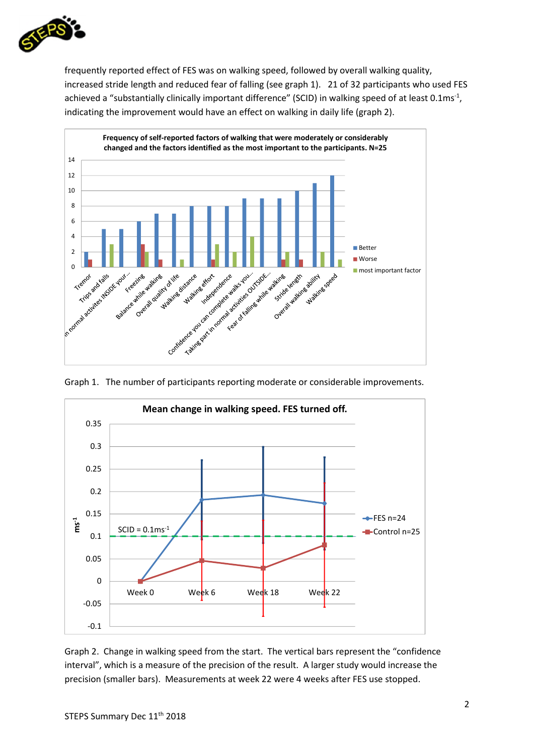

frequently reported effect of FES was on walking speed, followed by overall walking quality, increased stride length and reduced fear of falling (see graph 1). 21 of 32 participants who used FES achieved a "substantially clinically important difference" (SCID) in walking speed of at least 0.1ms<sup>-1</sup>, indicating the improvement would have an effect on walking in daily life (graph 2).



Graph 1. The number of participants reporting moderate or considerable improvements.



Graph 2. Change in walking speed from the start. The vertical bars represent the "confidence interval", which is a measure of the precision of the result. A larger study would increase the precision (smaller bars). Measurements at week 22 were 4 weeks after FES use stopped.